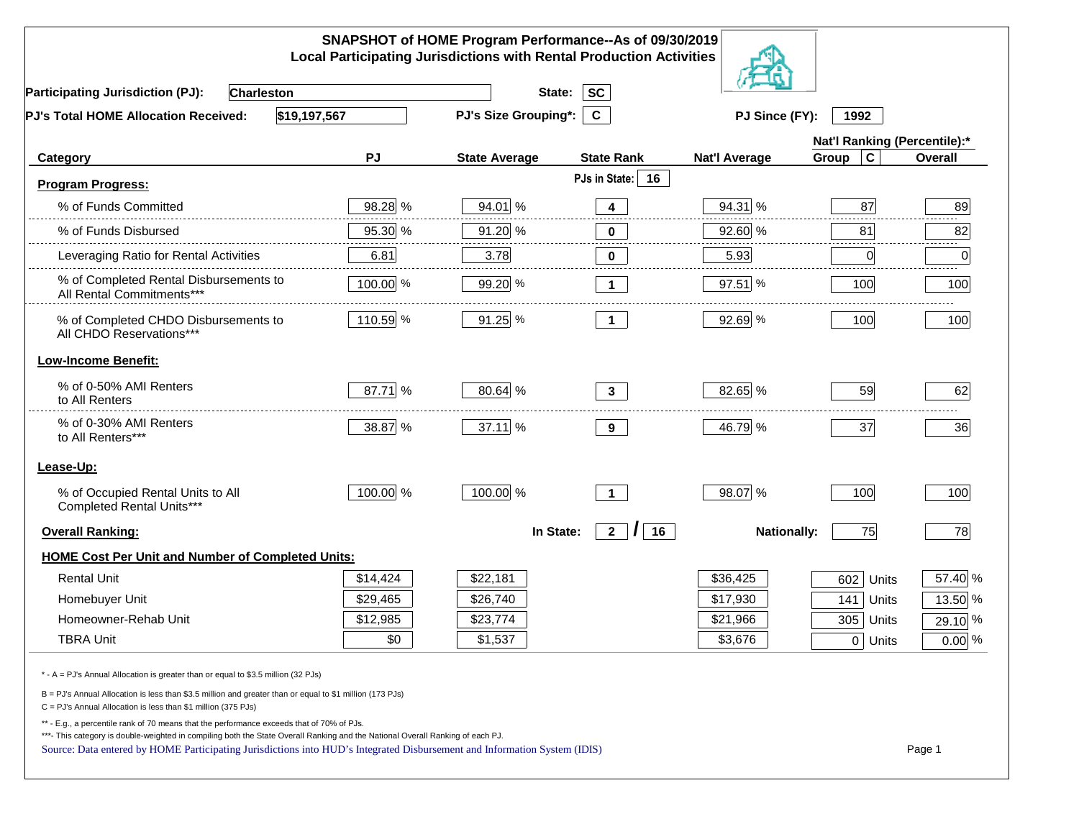|                                                                                                                                                                                                                                                                                                                                                          |           | SNAPSHOT of HOME Program Performance--As of 09/30/2019<br><b>Local Participating Jurisdictions with Rental Production Activities</b> |                        |                      |                              |          |  |
|----------------------------------------------------------------------------------------------------------------------------------------------------------------------------------------------------------------------------------------------------------------------------------------------------------------------------------------------------------|-----------|--------------------------------------------------------------------------------------------------------------------------------------|------------------------|----------------------|------------------------------|----------|--|
| <b>Participating Jurisdiction (PJ):</b><br><b>Charleston</b>                                                                                                                                                                                                                                                                                             |           | State:                                                                                                                               | <b>SC</b>              |                      |                              |          |  |
| \$19,197,567<br>PJ's Total HOME Allocation Received:                                                                                                                                                                                                                                                                                                     |           | <b>PJ's Size Grouping*:</b>                                                                                                          | $\mathbf{c}$           | PJ Since (FY):       | 1992                         |          |  |
|                                                                                                                                                                                                                                                                                                                                                          |           |                                                                                                                                      |                        |                      | Nat'l Ranking (Percentile):* |          |  |
| Category                                                                                                                                                                                                                                                                                                                                                 | <b>PJ</b> | <b>State Average</b>                                                                                                                 | <b>State Rank</b>      | <b>Nat'l Average</b> | $\mathbf c$<br>Group         | Overall  |  |
| <b>Program Progress:</b>                                                                                                                                                                                                                                                                                                                                 |           |                                                                                                                                      | PJs in State:<br>16    |                      |                              |          |  |
| % of Funds Committed                                                                                                                                                                                                                                                                                                                                     | 98.28 %   | 94.01 %                                                                                                                              | 4                      | 94.31 %              | 87                           | 89       |  |
| % of Funds Disbursed                                                                                                                                                                                                                                                                                                                                     | 95.30 %   | 91.20 %                                                                                                                              | $\bf{0}$               | 92.60 %              | 81                           | 82       |  |
| Leveraging Ratio for Rental Activities                                                                                                                                                                                                                                                                                                                   | 6.81      | 3.78                                                                                                                                 | $\bf{0}$               | 5.93                 | 0                            | 0        |  |
| % of Completed Rental Disbursements to<br>All Rental Commitments***                                                                                                                                                                                                                                                                                      | 100.00 %  | 99.20 %                                                                                                                              | 1                      | 97.51 %              | 100                          | 100      |  |
| % of Completed CHDO Disbursements to<br>All CHDO Reservations***                                                                                                                                                                                                                                                                                         | 110.59 %  | 91.25 %                                                                                                                              | $\mathbf 1$            | 92.69 %              | 100                          | 100      |  |
| <b>Low-Income Benefit:</b>                                                                                                                                                                                                                                                                                                                               |           |                                                                                                                                      |                        |                      |                              |          |  |
| % of 0-50% AMI Renters<br>to All Renters                                                                                                                                                                                                                                                                                                                 | 87.71 %   | 80.64 %                                                                                                                              | $\mathbf{3}$           | 82.65 %              | 59                           | 62       |  |
| % of 0-30% AMI Renters<br>to All Renters***                                                                                                                                                                                                                                                                                                              | 38.87 %   | 37.11 %                                                                                                                              | 9                      | 46.79 %              | 37                           | 36       |  |
| Lease-Up:                                                                                                                                                                                                                                                                                                                                                |           |                                                                                                                                      |                        |                      |                              |          |  |
| % of Occupied Rental Units to All<br>Completed Rental Units***                                                                                                                                                                                                                                                                                           | 100.00 %  | 100.00 %                                                                                                                             | $\overline{1}$         | 98.07 %              | 100                          | 100      |  |
| <b>Overall Ranking:</b>                                                                                                                                                                                                                                                                                                                                  |           | In State:                                                                                                                            | $2^{\circ}$<br>16<br>I | <b>Nationally:</b>   | 75                           | 78       |  |
| <b>HOME Cost Per Unit and Number of Completed Units:</b>                                                                                                                                                                                                                                                                                                 |           |                                                                                                                                      |                        |                      |                              |          |  |
| <b>Rental Unit</b>                                                                                                                                                                                                                                                                                                                                       | \$14,424  | \$22,181                                                                                                                             |                        | \$36,425             | 602<br>Units                 | 57.40 %  |  |
| Homebuyer Unit                                                                                                                                                                                                                                                                                                                                           | \$29,465  | \$26,740                                                                                                                             |                        | \$17,930             | 141<br>Units                 | 13.50 %  |  |
| Homeowner-Rehab Unit                                                                                                                                                                                                                                                                                                                                     | \$12,985  | \$23,774                                                                                                                             |                        | \$21,966             | 305 Units                    | 29.10 %  |  |
| <b>TBRA Unit</b>                                                                                                                                                                                                                                                                                                                                         | \$0       | \$1,537                                                                                                                              |                        | \$3,676              | 0 Units                      | $0.00\%$ |  |
| * - A = PJ's Annual Allocation is greater than or equal to \$3.5 million (32 PJs)                                                                                                                                                                                                                                                                        |           |                                                                                                                                      |                        |                      |                              |          |  |
| B = PJ's Annual Allocation is less than \$3.5 million and greater than or equal to \$1 million (173 PJs)<br>$C = PJ's$ Annual Allocation is less than \$1 million (375 PJs)                                                                                                                                                                              |           |                                                                                                                                      |                        |                      |                              |          |  |
| ** - E.g., a percentile rank of 70 means that the performance exceeds that of 70% of PJs.<br>***- This category is double-weighted in compiling both the State Overall Ranking and the National Overall Ranking of each PJ.<br>Source: Data entered by HOME Participating Jurisdictions into HUD's Integrated Disbursement and Information System (IDIS) |           |                                                                                                                                      |                        |                      |                              | Page 1   |  |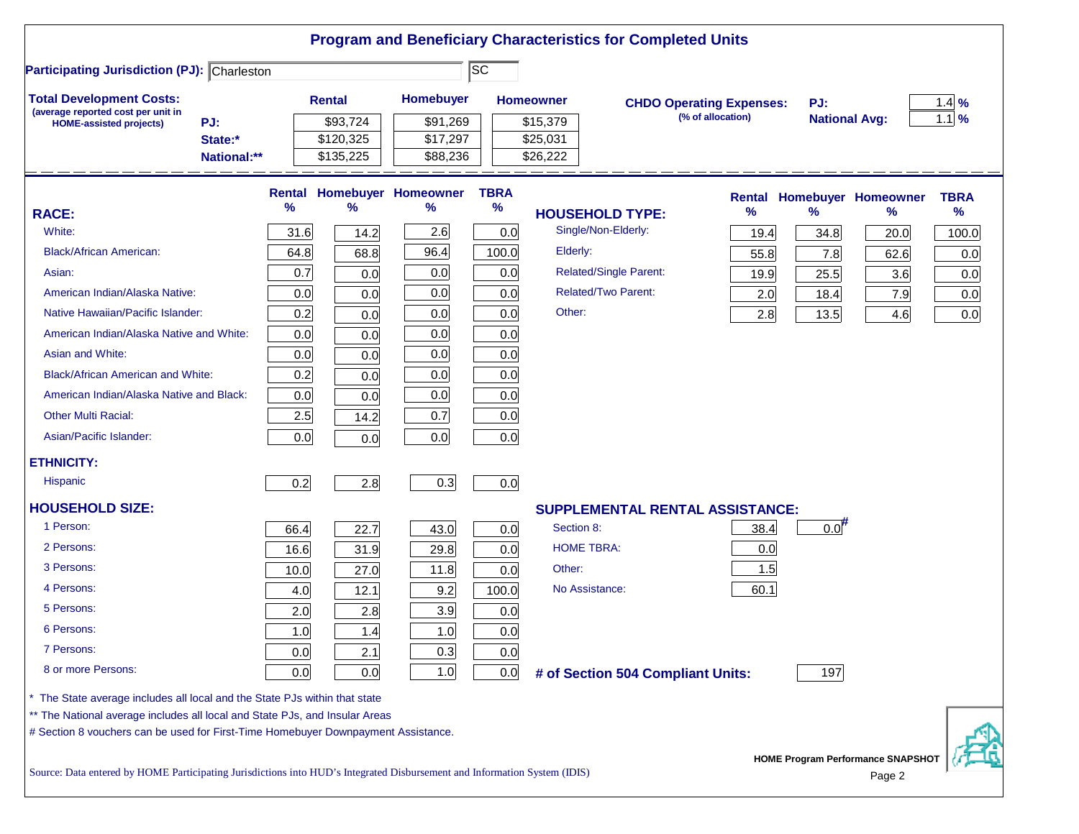|                                                                                                                           |      |               |                            |                   | <b>Program and Beneficiary Characteristics for Completed Units</b> |                                 |                      |                                   |               |
|---------------------------------------------------------------------------------------------------------------------------|------|---------------|----------------------------|-------------------|--------------------------------------------------------------------|---------------------------------|----------------------|-----------------------------------|---------------|
| <b>Participating Jurisdiction (PJ): Charleston</b>                                                                        |      |               |                            | $ \overline{sc} $ |                                                                    |                                 |                      |                                   |               |
| <b>Total Development Costs:</b>                                                                                           |      | <b>Rental</b> | <b>Homebuyer</b>           |                   | <b>Homeowner</b>                                                   | <b>CHDO Operating Expenses:</b> | PJ:                  |                                   | 1.4%          |
| (average reported cost per unit in<br>PJ:<br><b>HOME-assisted projects)</b>                                               |      | \$93,724      | \$91,269                   |                   | \$15,379                                                           | (% of allocation)               | <b>National Avg:</b> |                                   | $1.1$ %       |
| State:*                                                                                                                   |      | \$120,325     | \$17,297                   |                   | \$25,031                                                           |                                 |                      |                                   |               |
| National:**                                                                                                               |      | \$135,225     | \$88,236                   |                   | \$26,222                                                           |                                 |                      |                                   |               |
|                                                                                                                           |      |               | Rental Homebuyer Homeowner | <b>TBRA</b>       |                                                                    |                                 |                      | <b>Rental Homebuyer Homeowner</b> | <b>TBRA</b>   |
| <b>RACE:</b>                                                                                                              | %    | %             | %                          | %                 | <b>HOUSEHOLD TYPE:</b>                                             | %                               | $\frac{9}{6}$        | %                                 | $\frac{9}{6}$ |
| White:                                                                                                                    | 31.6 | 14.2          | 2.6                        | 0.0               | Single/Non-Elderly:                                                | 19.4                            | 34.8                 | 20.0                              | 100.0         |
| <b>Black/African American:</b>                                                                                            | 64.8 | 68.8          | 96.4                       | 100.0             | Elderly:                                                           | 55.8                            | 7.8                  | 62.6                              | 0.0           |
| Asian:                                                                                                                    | 0.7  | 0.0           | 0.0                        | 0.0               | <b>Related/Single Parent:</b>                                      | 19.9                            | 25.5                 | 3.6                               | 0.0           |
| American Indian/Alaska Native:                                                                                            | 0.0  | 0.0           | 0.0                        | 0.0               | <b>Related/Two Parent:</b>                                         | 2.0                             | 18.4                 | 7.9                               | 0.0           |
| Native Hawaiian/Pacific Islander:                                                                                         | 0.2  | 0.0           | 0.0                        | 0.0               | Other:                                                             | 2.8                             | 13.5                 | 4.6                               | 0.0           |
| American Indian/Alaska Native and White:                                                                                  | 0.0  | 0.0           | 0.0                        | 0.0               |                                                                    |                                 |                      |                                   |               |
| Asian and White:                                                                                                          | 0.0  | 0.0           | 0.0                        | 0.0               |                                                                    |                                 |                      |                                   |               |
| <b>Black/African American and White:</b>                                                                                  | 0.2  | 0.0           | 0.0                        | 0.0               |                                                                    |                                 |                      |                                   |               |
| American Indian/Alaska Native and Black:                                                                                  | 0.0  | 0.0           | 0.0                        | 0.0               |                                                                    |                                 |                      |                                   |               |
| <b>Other Multi Racial:</b>                                                                                                | 2.5  | 14.2          | 0.7                        | 0.0               |                                                                    |                                 |                      |                                   |               |
| Asian/Pacific Islander:                                                                                                   | 0.0  | 0.0           | 0.0                        | 0.0               |                                                                    |                                 |                      |                                   |               |
| <b>ETHNICITY:</b>                                                                                                         |      |               |                            |                   |                                                                    |                                 |                      |                                   |               |
| <b>Hispanic</b>                                                                                                           | 0.2  | 2.8           | 0.3                        | 0.0               |                                                                    |                                 |                      |                                   |               |
| <b>HOUSEHOLD SIZE:</b>                                                                                                    |      |               |                            |                   | SUPPLEMENTAL RENTAL ASSISTANCE:                                    |                                 |                      |                                   |               |
| 1 Person:                                                                                                                 | 66.4 | 22.7          | 43.0                       | 0.0               | Section 8:                                                         | 38.4                            | $0.0$ <sup>#</sup>   |                                   |               |
| 2 Persons:                                                                                                                | 16.6 | 31.9          | 29.8                       | 0.0               | <b>HOME TBRA:</b>                                                  | 0.0                             |                      |                                   |               |
| 3 Persons:                                                                                                                | 10.0 | 27.0          | 11.8                       | 0.0               | Other:                                                             | 1.5                             |                      |                                   |               |
| 4 Persons:                                                                                                                | 4.0  | 12.1          | 9.2                        | 100.0             | No Assistance:                                                     | 60.1                            |                      |                                   |               |
| 5 Persons:                                                                                                                | 2.0  | 2.8           | 3.9                        | 0.0               |                                                                    |                                 |                      |                                   |               |
| 6 Persons:                                                                                                                | 1.0  | $1.4$         | 1.0                        | 0.0               |                                                                    |                                 |                      |                                   |               |
| 7 Persons:                                                                                                                | 0.0  | 2.1           | 0.3                        | 0.0               |                                                                    |                                 |                      |                                   |               |
| 8 or more Persons:                                                                                                        | 0.0  | 0.0           | 1.0                        | 0.0               | # of Section 504 Compliant Units:                                  |                                 | 197                  |                                   |               |
| * The State average includes all local and the State PJs within that state                                                |      |               |                            |                   |                                                                    |                                 |                      |                                   |               |
| ** The National average includes all local and State PJs, and Insular Areas                                               |      |               |                            |                   |                                                                    |                                 |                      |                                   |               |
| # Section 8 vouchers can be used for First-Time Homebuyer Downpayment Assistance.                                         |      |               |                            |                   |                                                                    |                                 |                      |                                   |               |
|                                                                                                                           |      |               |                            |                   |                                                                    |                                 |                      | HOME Program Performance SNAPSHOT |               |
| Source: Data entered by HOME Participating Jurisdictions into HUD's Integrated Disbursement and Information System (IDIS) |      |               |                            |                   |                                                                    |                                 |                      | Page 2                            |               |